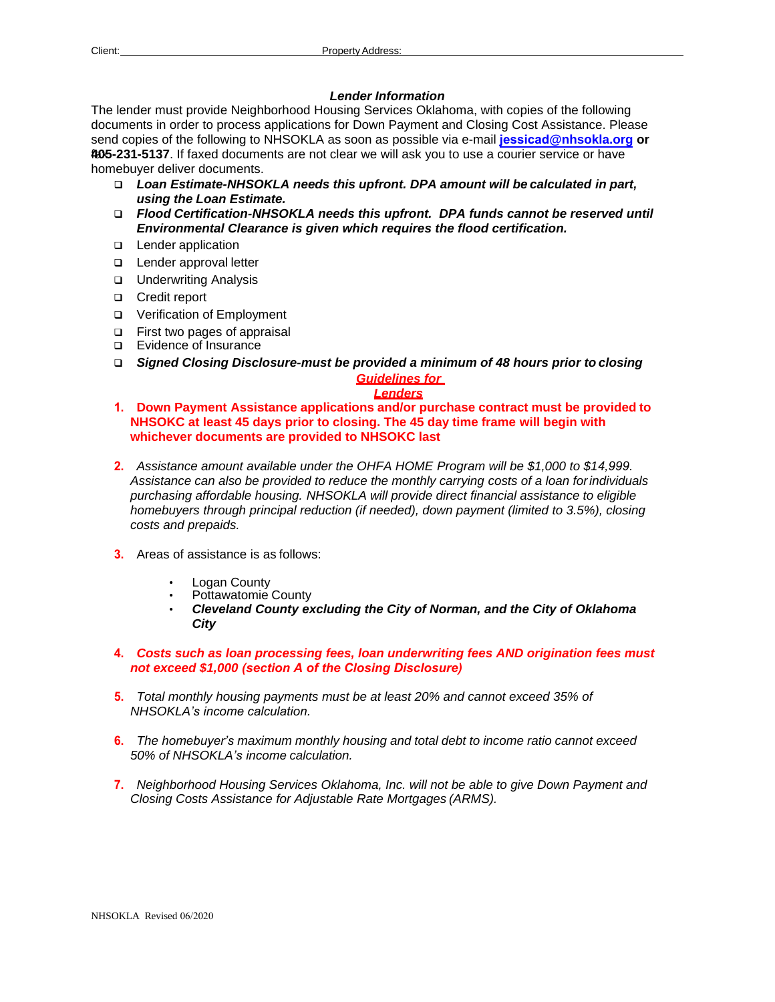# *Lender Information*

The lender must provide Neighborhood Housing Services Oklahoma, with copies of the following documents in order to process applications for Down Payment and Closing Cost Assistance. Please send copies of the following to NHSOKLA as soon as possible via e-mail **jessicad[@nhsokla.org](mailto:lindar@nhsokla.org) or 405** fax **-231-5137**. If faxed documents are not clear we will ask you to use a courier service or have homebuyer deliver documents.

- *Loan Estimate-NHSOKLA needs this upfront. DPA amount will be calculated in part, using the Loan Estimate.*
- *Flood Certification-NHSOKLA needs this upfront. DPA funds cannot be reserved until Environmental Clearance is given which requires the flood certification.*
- □ Lender application
- □ Lender approval letter
- **u** Underwriting Analysis
- □ Credit report
- Verification of Employment
- □ First two pages of appraisal
- □ Evidence of Insurance
- *Signed Closing Disclosure-must be provided a minimum of 48 hours prior to closing Guidelines for*

### *Lenders*

- **1. Down Payment Assistance applications and/or purchase contract must be provided to NHSOKC at least 45 days prior to closing. The 45 day time frame will begin with whichever documents are provided to NHSOKC last**
- **2.** *Assistance amount available under the OHFA HOME Program will be \$1,000 to \$14,999. Assistance can also be provided to reduce the monthly carrying costs of a loan for individuals purchasing affordable housing. NHSOKLA will provide direct financial assistance to eligible homebuyers through principal reduction (if needed), down payment (limited to 3.5%), closing costs and prepaids.*
- **3.** Areas of assistance is as follows:
	- **Logan County**
	- Pottawatomie County
	- *Cleveland County excluding the City of Norman, and the City of Oklahoma City*
- **4.** *Costs such as loan processing fees, loan underwriting fees AND origination fees must not exceed \$1,000 (section A of the Closing Disclosure)*
- **5.** *Total monthly housing payments must be at least 20% and cannot exceed 35% of NHSOKLA's income calculation.*
- **6.** *The homebuyer's maximum monthly housing and total debt to income ratio cannot exceed 50% of NHSOKLA's income calculation.*
- **7.** *Neighborhood Housing Services Oklahoma, Inc. will not be able to give Down Payment and Closing Costs Assistance for Adjustable Rate Mortgages (ARMS).*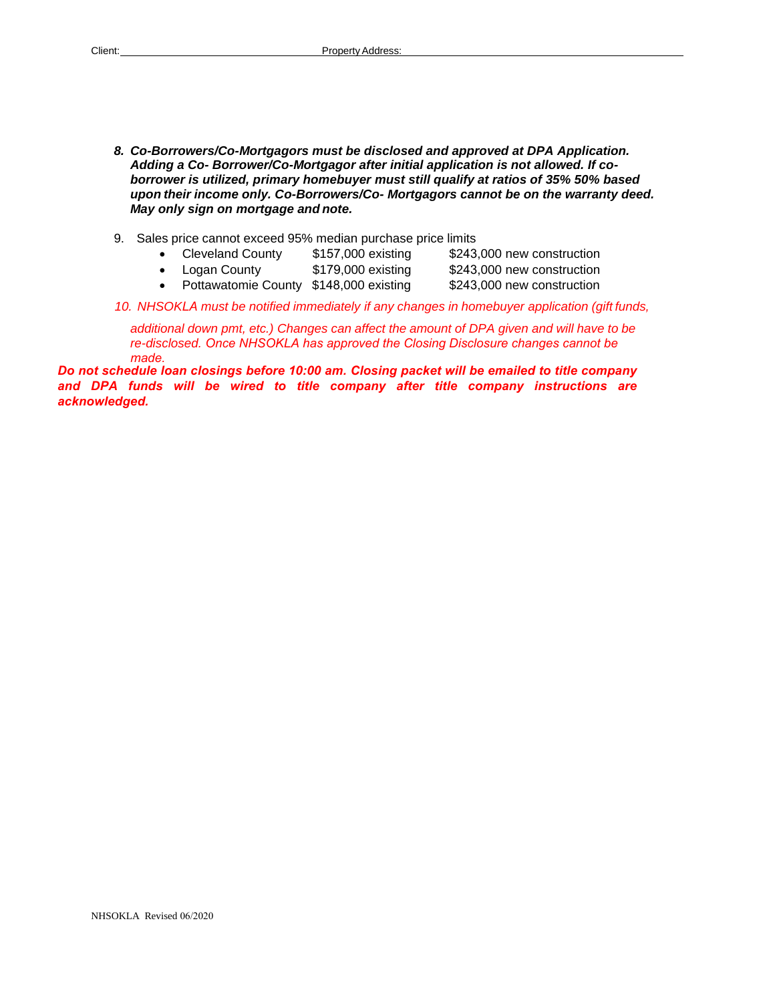- *8. Co-Borrowers/Co-Mortgagors must be disclosed and approved at DPA Application. Adding a Co- Borrower/Co-Mortgagor after initial application is not allowed. If coborrower is utilized, primary homebuyer must still qualify at ratios of 35% 50% based upon their income only. Co-Borrowers/Co- Mortgagors cannot be on the warranty deed. May only sign on mortgage and note.*
- 9. Sales price cannot exceed 95% median purchase price limits
	- Cleveland County \$157,000 existing \$243,000 new construction
	- Logan County \$179,000 existing • Pottawatomie County \$148,000 existing \$243,000 new construction
		- \$243,000 new construction

# *10. NHSOKLA must be notified immediately if any changes in homebuyer application (gift funds,*

additional down pmt, etc.) Changes can affect the amount of DPA given and will have to be *re-disclosed. Once NHSOKLA has approved the Closing Disclosure changes cannot be made.*

*Do not schedule loan closings before 10:00 am. Closing packet will be emailed to title company and DPA funds will be wired to title company after title company instructions are acknowledged.*